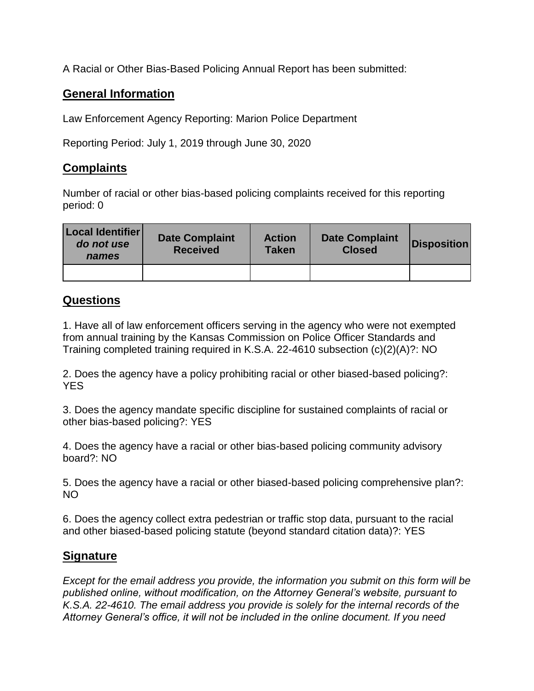A Racial or Other Bias-Based Policing Annual Report has been submitted:

## **General Information**

Law Enforcement Agency Reporting: Marion Police Department

Reporting Period: July 1, 2019 through June 30, 2020

## **Complaints**

Number of racial or other bias-based policing complaints received for this reporting period: 0

| Local Identifier<br>do not use<br>names | <b>Date Complaint</b><br><b>Received</b> | <b>Action</b><br><b>Taken</b> | <b>Date Complaint</b><br><b>Closed</b> | <b>Disposition</b> |
|-----------------------------------------|------------------------------------------|-------------------------------|----------------------------------------|--------------------|
|                                         |                                          |                               |                                        |                    |

## **Questions**

1. Have all of law enforcement officers serving in the agency who were not exempted from annual training by the Kansas Commission on Police Officer Standards and Training completed training required in K.S.A. 22-4610 subsection (c)(2)(A)?: NO

2. Does the agency have a policy prohibiting racial or other biased-based policing?: YES

3. Does the agency mandate specific discipline for sustained complaints of racial or other bias-based policing?: YES

4. Does the agency have a racial or other bias-based policing community advisory board?: NO

5. Does the agency have a racial or other biased-based policing comprehensive plan?: NO

6. Does the agency collect extra pedestrian or traffic stop data, pursuant to the racial and other biased-based policing statute (beyond standard citation data)?: YES

## **Signature**

*Except for the email address you provide, the information you submit on this form will be published online, without modification, on the Attorney General's website, pursuant to K.S.A. 22-4610. The email address you provide is solely for the internal records of the Attorney General's office, it will not be included in the online document. If you need*